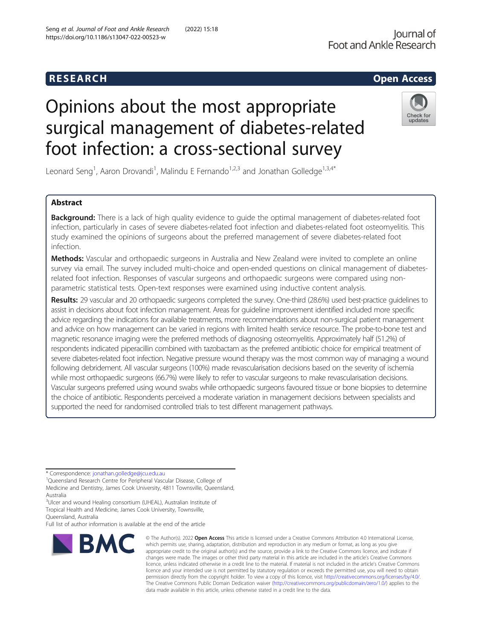## R E S EAR CH Open Access

# Opinions about the most appropriate surgical management of diabetes-related foot infection: a cross-sectional survey



Leonard Seng<sup>1</sup>, Aaron Drovandi<sup>1</sup>, Malindu E Fernando<sup>1,2,3</sup> and Jonathan Golledge<sup>1,3,4\*</sup>

## Abstract

Background: There is a lack of high quality evidence to quide the optimal management of diabetes-related foot infection, particularly in cases of severe diabetes-related foot infection and diabetes-related foot osteomyelitis. This study examined the opinions of surgeons about the preferred management of severe diabetes-related foot infection.

Methods: Vascular and orthopaedic surgeons in Australia and New Zealand were invited to complete an online survey via email. The survey included multi-choice and open-ended questions on clinical management of diabetesrelated foot infection. Responses of vascular surgeons and orthopaedic surgeons were compared using nonparametric statistical tests. Open-text responses were examined using inductive content analysis.

Results: 29 vascular and 20 orthopaedic surgeons completed the survey. One-third (28.6%) used best-practice guidelines to assist in decisions about foot infection management. Areas for guideline improvement identified included more specific advice regarding the indications for available treatments, more recommendations about non-surgical patient management and advice on how management can be varied in regions with limited health service resource. The probe-to-bone test and magnetic resonance imaging were the preferred methods of diagnosing osteomyelitis. Approximately half (51.2%) of respondents indicated piperacillin combined with tazobactam as the preferred antibiotic choice for empirical treatment of severe diabetes-related foot infection. Negative pressure wound therapy was the most common way of managing a wound following debridement. All vascular surgeons (100%) made revascularisation decisions based on the severity of ischemia while most orthopaedic surgeons (66.7%) were likely to refer to vascular surgeons to make revascularisation decisions. Vascular surgeons preferred using wound swabs while orthopaedic surgeons favoured tissue or bone biopsies to determine the choice of antibiotic. Respondents perceived a moderate variation in management decisions between specialists and supported the need for randomised controlled trials to test different management pathways.

\* Correspondence: [jonathan.golledge@jcu.edu.au](mailto:jonathan.golledge@jcu.edu.au) <sup>1</sup>

<sup>1</sup>Queensland Research Centre for Peripheral Vascular Disease, College of Medicine and Dentistry, James Cook University, 4811 Townsville, Queensland, Australia

<sup>3</sup>Ulcer and wound Healing consortium (UHEAL), Australian Institute of Tropical Health and Medicine, James Cook University, Townsville,

Queensland, Australia

Full list of author information is available at the end of the article



© The Author(s), 2022 **Open Access** This article is licensed under a Creative Commons Attribution 4.0 International License, which permits use, sharing, adaptation, distribution and reproduction in any medium or format, as long as you give appropriate credit to the original author(s) and the source, provide a link to the Creative Commons licence, and indicate if changes were made. The images or other third party material in this article are included in the article's Creative Commons licence, unless indicated otherwise in a credit line to the material. If material is not included in the article's Creative Commons licence and your intended use is not permitted by statutory regulation or exceeds the permitted use, you will need to obtain permission directly from the copyright holder. To view a copy of this licence, visit [http://creativecommons.org/licenses/by/4.0/.](http://creativecommons.org/licenses/by/4.0/) The Creative Commons Public Domain Dedication waiver [\(http://creativecommons.org/publicdomain/zero/1.0/](http://creativecommons.org/publicdomain/zero/1.0/)) applies to the data made available in this article, unless otherwise stated in a credit line to the data.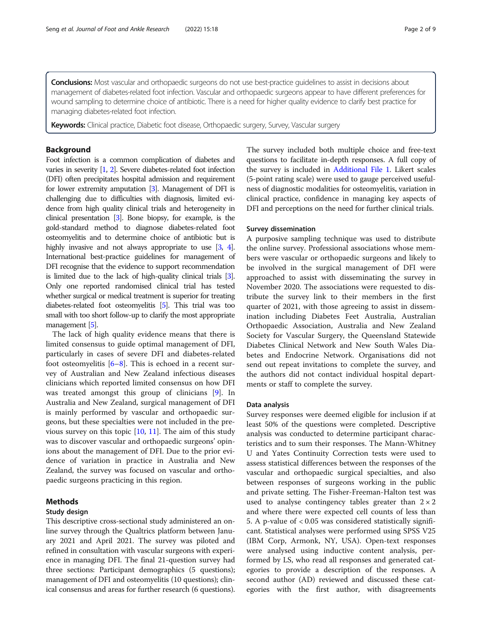Conclusions: Most vascular and orthopaedic surgeons do not use best-practice quidelines to assist in decisions about management of diabetes-related foot infection. Vascular and orthopaedic surgeons appear to have different preferences for wound sampling to determine choice of antibiotic. There is a need for higher quality evidence to clarify best practice for managing diabetes-related foot infection.

Keywords: Clinical practice, Diabetic foot disease, Orthopaedic surgery, Survey, Vascular surgery

#### Background

Foot infection is a common complication of diabetes and varies in severity [\[1,](#page-7-0) [2\]](#page-7-0). Severe diabetes-related foot infection (DFI) often precipitates hospital admission and requirement for lower extremity amputation [\[3\]](#page-7-0). Management of DFI is challenging due to difficulties with diagnosis, limited evidence from high quality clinical trials and heterogeneity in clinical presentation [\[3\]](#page-7-0). Bone biopsy, for example, is the gold-standard method to diagnose diabetes-related foot osteomyelitis and to determine choice of antibiotic but is highly invasive and not always appropriate to use [\[3,](#page-7-0) [4\]](#page-7-0). International best-practice guidelines for management of DFI recognise that the evidence to support recommendation is limited due to the lack of high-quality clinical trials [\[3\]](#page-7-0). Only one reported randomised clinical trial has tested whether surgical or medical treatment is superior for treating diabetes-related foot osteomyelitis [\[5\]](#page-7-0). This trial was too small with too short follow-up to clarify the most appropriate management [\[5\]](#page-7-0).

The lack of high quality evidence means that there is limited consensus to guide optimal management of DFI, particularly in cases of severe DFI and diabetes-related foot osteomyelitis  $[6-8]$  $[6-8]$  $[6-8]$  $[6-8]$  $[6-8]$ . This is echoed in a recent survey of Australian and New Zealand infectious diseases clinicians which reported limited consensus on how DFI was treated amongst this group of clinicians [[9](#page-8-0)]. In Australia and New Zealand, surgical management of DFI is mainly performed by vascular and orthopaedic surgeons, but these specialties were not included in the previous survey on this topic  $[10, 11]$  $[10, 11]$  $[10, 11]$  $[10, 11]$ . The aim of this study was to discover vascular and orthopaedic surgeons' opinions about the management of DFI. Due to the prior evidence of variation in practice in Australia and New Zealand, the survey was focused on vascular and orthopaedic surgeons practicing in this region.

#### Methods

#### Study design

This descriptive cross-sectional study administered an online survey through the Qualtrics platform between January 2021 and April 2021. The survey was piloted and refined in consultation with vascular surgeons with experience in managing DFI. The final 21-question survey had three sections: Participant demographics (5 questions); management of DFI and osteomyelitis (10 questions); clinical consensus and areas for further research (6 questions). The survey included both multiple choice and free-text questions to facilitate in-depth responses. A full copy of the survey is included in [Additional File 1.](#page-7-0) Likert scales (5-point rating scale) were used to gauge perceived usefulness of diagnostic modalities for osteomyelitis, variation in clinical practice, confidence in managing key aspects of DFI and perceptions on the need for further clinical trials.

#### Survey dissemination

A purposive sampling technique was used to distribute the online survey. Professional associations whose members were vascular or orthopaedic surgeons and likely to be involved in the surgical management of DFI were approached to assist with disseminating the survey in November 2020. The associations were requested to distribute the survey link to their members in the first quarter of 2021, with those agreeing to assist in dissemination including Diabetes Feet Australia, Australian Orthopaedic Association, Australia and New Zealand Society for Vascular Surgery, the Queensland Statewide Diabetes Clinical Network and New South Wales Diabetes and Endocrine Network. Organisations did not send out repeat invitations to complete the survey, and the authors did not contact individual hospital departments or staff to complete the survey.

#### Data analysis

Survey responses were deemed eligible for inclusion if at least 50% of the questions were completed. Descriptive analysis was conducted to determine participant characteristics and to sum their responses. The Mann-Whitney U and Yates Continuity Correction tests were used to assess statistical differences between the responses of the vascular and orthopaedic surgical specialties, and also between responses of surgeons working in the public and private setting. The Fisher-Freeman-Halton test was used to analyse contingency tables greater than  $2 \times 2$ and where there were expected cell counts of less than 5. A p-value of < 0.05 was considered statistically significant. Statistical analyses were performed using SPSS V25 (IBM Corp, Armonk, NY, USA). Open-text responses were analysed using inductive content analysis, performed by LS, who read all responses and generated categories to provide a description of the responses. A second author (AD) reviewed and discussed these categories with the first author, with disagreements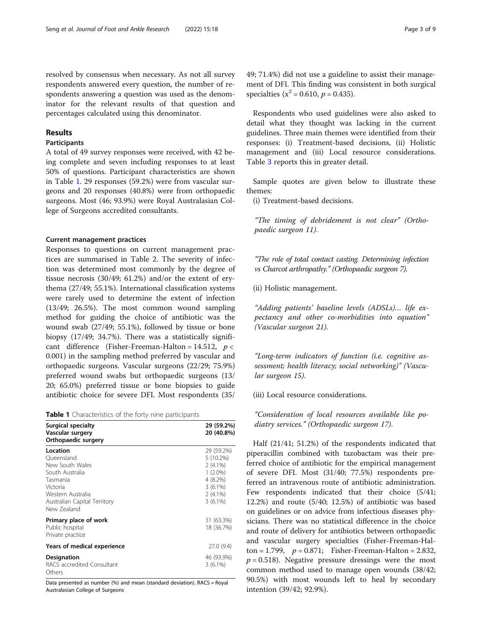resolved by consensus when necessary. As not all survey respondents answered every question, the number of respondents answering a question was used as the denominator for the relevant results of that question and percentages calculated using this denominator.

#### Results

#### Participants

A total of 49 survey responses were received, with 42 being complete and seven including responses to at least 50% of questions. Participant characteristics are shown in Table 1. 29 responses (59.2%) were from vascular surgeons and 20 responses (40.8%) were from orthopaedic surgeons. Most (46; 93.9%) were Royal Australasian College of Surgeons accredited consultants.

#### Current management practices

Responses to questions on current management practices are summarised in Table [2.](#page-3-0) The severity of infection was determined most commonly by the degree of tissue necrosis (30/49; 61.2%) and/or the extent of erythema (27/49; 55.1%). International classification systems were rarely used to determine the extent of infection (13/49; 26.5%). The most common wound sampling method for guiding the choice of antibiotic was the wound swab (27/49; 55.1%), followed by tissue or bone biopsy (17/49; 34.7%). There was a statistically significant difference (Fisher-Freeman-Halton = 14.512,  $p <$ 0.001) in the sampling method preferred by vascular and orthopaedic surgeons. Vascular surgeons (22/29; 75.9%) preferred wound swabs but orthopaedic surgeons (13/ 20; 65.0%) preferred tissue or bone biopsies to guide antibiotic choice for severe DFI. Most respondents (35/

| <b>Surgical specialty</b><br>Vascular surgery<br>Orthopaedic surgery                                                                                     | 29 (59.2%)<br>20 (40.8%)                                                                                    |
|----------------------------------------------------------------------------------------------------------------------------------------------------------|-------------------------------------------------------------------------------------------------------------|
| Location<br>Oueensland<br>New South Wales<br>South Australia<br>Tasmania<br>Victoria<br>Western Australia<br>Australian Capital Territory<br>New Zealand | 29 (59.2%)<br>5 (10.2%)<br>$2(4.1\%)$<br>$1(2.0\%)$<br>$4(8.2\%)$<br>$3(6.1\%)$<br>$2(4.1\%)$<br>$3(6.1\%)$ |
| Primary place of work<br>Public hospital<br>Private practice                                                                                             | 31 (63.3%)<br>18 (36.7%)                                                                                    |
| <b>Years of medical experience</b>                                                                                                                       | 27.0 (9.4)                                                                                                  |
| Designation<br>RACS accredited Consultant<br>Others                                                                                                      | 46 (93.9%)<br>$3(6.1\%)$                                                                                    |

Data presented as number (%) and mean (standard deviation). RACS = Royal Australasian College of Surgeons

49; 71.4%) did not use a guideline to assist their management of DFI. This finding was consistent in both surgical specialties ( $x^2 = 0.610$ ,  $p = 0.435$ ).

Respondents who used guidelines were also asked to detail what they thought was lacking in the current guidelines. Three main themes were identified from their responses: (i) Treatment-based decisions, (ii) Holistic management and (iii) Local resource considerations. Table [3](#page-4-0) reports this in greater detail.

Sample quotes are given below to illustrate these themes:

(i) Treatment-based decisions.

"The timing of debridement is not clear" (Orthopaedic surgeon 11).

"The role of total contact casting. Determining infection vs Charcot arthropathy." (Orthopaedic surgeon 7).

(ii) Holistic management.

"Adding patients' baseline levels (ADSLs)… life expectancy and other co-morbidities into equation" (Vascular surgeon 21).

"Long-term indicators of function (i.e. cognitive assessment; health literacy; social networking)" (Vascular surgeon 15).

(iii) Local resource considerations.

"Consideration of local resources available like podiatry services." (Orthopaedic surgeon 17).

Half (21/41; 51.2%) of the respondents indicated that piperacillin combined with tazobactam was their preferred choice of antibiotic for the empirical management of severe DFI. Most (31/40; 77.5%) respondents preferred an intravenous route of antibiotic administration. Few respondents indicated that their choice (5/41; 12.2%) and route (5/40; 12.5%) of antibiotic was based on guidelines or on advice from infectious diseases physicians. There was no statistical difference in the choice and route of delivery for antibiotics between orthopaedic and vascular surgery specialties (Fisher-Freeman-Halton = 1.799,  $p = 0.871$ ; Fisher-Freeman-Halton = 2.832,  $p = 0.518$ ). Negative pressure dressings were the most common method used to manage open wounds (38/42; 90.5%) with most wounds left to heal by secondary intention (39/42; 92.9%).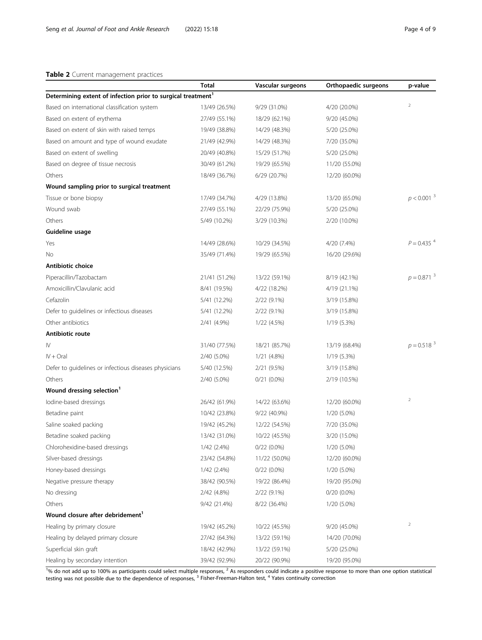#### <span id="page-3-0"></span>Table 2 Current management practices

|                                                                          | Total         | Vascular surgeons | Orthopaedic surgeons | p-value                  |
|--------------------------------------------------------------------------|---------------|-------------------|----------------------|--------------------------|
| Determining extent of infection prior to surgical treatment <sup>1</sup> |               |                   |                      |                          |
| Based on international classification system                             | 13/49 (26.5%) | 9/29 (31.0%)      | 4/20 (20.0%)         | $\overline{2}$           |
| Based on extent of erythema                                              | 27/49 (55.1%) | 18/29 (62.1%)     | 9/20 (45.0%)         |                          |
| Based on extent of skin with raised temps                                | 19/49 (38.8%) | 14/29 (48.3%)     | 5/20 (25.0%)         |                          |
| Based on amount and type of wound exudate                                | 21/49 (42.9%) | 14/29 (48.3%)     | 7/20 (35.0%)         |                          |
| Based on extent of swelling                                              | 20/49 (40.8%) | 15/29 (51.7%)     | 5/20 (25.0%)         |                          |
| Based on degree of tissue necrosis                                       | 30/49 (61.2%) | 19/29 (65.5%)     | 11/20 (55.0%)        |                          |
| Others                                                                   | 18/49 (36.7%) | 6/29 (20.7%)      | 12/20 (60.0%)        |                          |
| Wound sampling prior to surgical treatment                               |               |                   |                      |                          |
| Tissue or bone biopsy                                                    | 17/49 (34.7%) | 4/29 (13.8%)      | 13/20 (65.0%)        | $p < 0.001$ <sup>3</sup> |
| Wound swab                                                               | 27/49 (55.1%) | 22/29 (75.9%)     | 5/20 (25.0%)         |                          |
| Others                                                                   | 5/49 (10.2%)  | 3/29 (10.3%)      | 2/20 (10.0%)         |                          |
| Guideline usage                                                          |               |                   |                      |                          |
| Yes                                                                      | 14/49 (28.6%) | 10/29 (34.5%)     | 4/20 (7.4%)          | $P = 0.435$ <sup>4</sup> |
| Νo                                                                       | 35/49 (71.4%) | 19/29 (65.5%)     | 16/20 (29.6%)        |                          |
| Antibiotic choice                                                        |               |                   |                      |                          |
| Piperacillin/Tazobactam                                                  | 21/41 (51.2%) | 13/22 (59.1%)     | 8/19 (42.1%)         | $p = 0.871^{3}$          |
| Amoxicillin/Clavulanic acid                                              | 8/41 (19.5%)  | 4/22 (18.2%)      | 4/19 (21.1%)         |                          |
| Cefazolin                                                                | 5/41 (12.2%)  | 2/22 (9.1%)       | 3/19 (15.8%)         |                          |
| Defer to guidelines or infectious diseases                               | 5/41 (12.2%)  | 2/22 (9.1%)       | 3/19 (15.8%)         |                          |
| Other antibiotics                                                        | 2/41 (4.9%)   | 1/22 (4.5%)       | 1/19 (5.3%)          |                          |
| Antibiotic route                                                         |               |                   |                      |                          |
| IV                                                                       | 31/40 (77.5%) | 18/21 (85.7%)     | 13/19 (68.4%)        | $p = 0.518^{3}$          |
| $IV + Ord$                                                               | 2/40 (5.0%)   | 1/21 (4.8%)       | 1/19 (5.3%)          |                          |
| Defer to guidelines or infectious diseases physicians                    | 5/40 (12.5%)  | 2/21 (9.5%)       | 3/19 (15.8%)         |                          |
| Others                                                                   | 2/40 (5.0%)   | $0/21(0.0\%)$     | 2/19 (10.5%)         |                          |
| Wound dressing selection <sup>1</sup>                                    |               |                   |                      |                          |
| lodine-based dressings                                                   | 26/42 (61.9%) | 14/22 (63.6%)     | 12/20 (60.0%)        | $\mathbf 2$              |
| Betadine paint                                                           | 10/42 (23.8%) | 9/22 (40.9%)      | 1/20 (5.0%)          |                          |
| Saline soaked packing                                                    | 19/42 (45.2%) | 12/22 (54.5%)     | 7/20 (35.0%)         |                          |
| Betadine soaked packing                                                  | 13/42 (31.0%) | 10/22 (45.5%)     | 3/20 (15.0%)         |                          |
| Chlorohexidine-based dressings                                           | 1/42 (2.4%)   | $0/22$ $(0.0\%)$  | 1/20 (5.0%)          |                          |
| Silver-based dressings                                                   | 23/42 (54.8%) | 11/22 (50.0%)     | 12/20 (60.0%)        |                          |
| Honey-based dressings                                                    | 1/42 (2.4%)   | $0/22$ $(0.0\%)$  | 1/20 (5.0%)          |                          |
| Negative pressure therapy                                                | 38/42 (90.5%) | 19/22 (86.4%)     | 19/20 (95.0%)        |                          |
| No dressing                                                              | 2/42 (4.8%)   | 2/22 (9.1%)       | $0/20(0.0\%)$        |                          |
| Others                                                                   | 9/42 (21.4%)  | 8/22 (36.4%)      | 1/20 (5.0%)          |                          |
| Wound closure after debridement <sup>1</sup>                             |               |                   |                      |                          |
| Healing by primary closure                                               | 19/42 (45.2%) | 10/22 (45.5%)     | 9/20 (45.0%)         | $\overline{a}$           |
| Healing by delayed primary closure                                       | 27/42 (64.3%) | 13/22 (59.1%)     | 14/20 (70.0%)        |                          |
| Superficial skin graft                                                   | 18/42 (42.9%) | 13/22 (59.1%)     | 5/20 (25.0%)         |                          |
| Healing by secondary intention                                           | 39/42 (92.9%) | 20/22 (90.9%)     | 19/20 (95.0%)        |                          |

 $1\%$  do not add up to 100% as participants could select multiple responses, <sup>2</sup> As responders could indicate a positive response to more than one option statistical testing was not possible due to the dependence of responses, <sup>3</sup> Fisher-Freeman-Halton test, <sup>4</sup> Yates continuity correction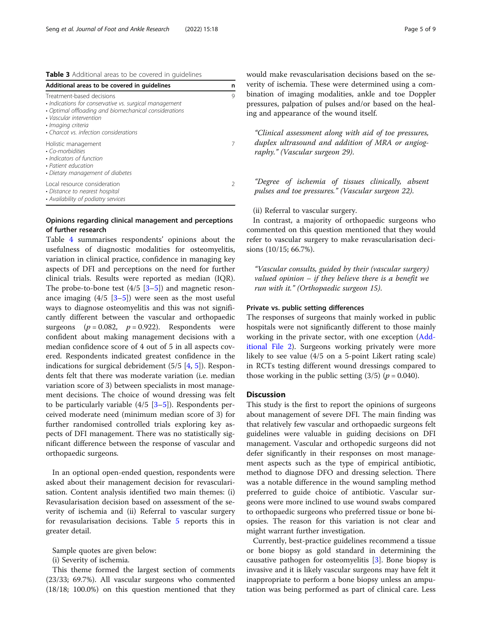<span id="page-4-0"></span>Table 3 Additional areas to be covered in guidelines

| Additional areas to be covered in quidelines                                                                                                                                                                                            | n |
|-----------------------------------------------------------------------------------------------------------------------------------------------------------------------------------------------------------------------------------------|---|
| Treatment-based decisions<br>• Indications for conservative vs. surgical management<br>• Optimal offloading and biomechanical considerations<br>• Vascular intervention<br>• Imaging criteria<br>• Charcot vs. infection considerations | 9 |
| Holistic management<br>• Co-morbidities<br>• Indicators of function<br>• Patient education<br>• Dietary management of diabetes                                                                                                          |   |
| Local resource consideration<br>• Distance to nearest hospital<br>• Availability of podiatry services                                                                                                                                   |   |

#### Opinions regarding clinical management and perceptions of further research

Table [4](#page-5-0) summarises respondents' opinions about the usefulness of diagnostic modalities for osteomyelitis, variation in clinical practice, confidence in managing key aspects of DFI and perceptions on the need for further clinical trials. Results were reported as median (IQR). The probe-to-bone test  $(4/5 \, 3-5)$  $(4/5 \, 3-5)$  $(4/5 \, 3-5)$  and magnetic resonance imaging  $(4/5 \, 5]$  $(4/5 \, 5]$  were seen as the most useful ways to diagnose osteomyelitis and this was not significantly different between the vascular and orthopaedic surgeons  $(p = 0.082, p = 0.922)$ . Respondents were confident about making management decisions with a median confidence score of 4 out of 5 in all aspects covered. Respondents indicated greatest confidence in the indications for surgical debridement  $(5/5 \; 4, 5)$  $(5/5 \; 4, 5)$  $(5/5 \; 4, 5)$ . Respondents felt that there was moderate variation (i.e. median variation score of 3) between specialists in most management decisions. The choice of wound dressing was felt to be particularly variable  $(4/5 \, 3-5)$ . Respondents perceived moderate need (minimum median score of 3) for further randomised controlled trials exploring key aspects of DFI management. There was no statistically significant difference between the response of vascular and orthopaedic surgeons.

In an optional open-ended question, respondents were asked about their management decision for revascularisation. Content analysis identified two main themes: (i) Revasularisation decision based on assessment of the severity of ischemia and (ii) Referral to vascular surgery for revasularisation decisions. Table [5](#page-6-0) reports this in greater detail.

Sample quotes are given below:

(i) Severity of ischemia.

This theme formed the largest section of comments (23/33; 69.7%). All vascular surgeons who commented (18/18; 100.0%) on this question mentioned that they would make revascularisation decisions based on the severity of ischemia. These were determined using a combination of imaging modalities, ankle and toe Doppler pressures, palpation of pulses and/or based on the healing and appearance of the wound itself.

"Clinical assessment along with aid of toe pressures, duplex ultrasound and addition of MRA or angiography." (Vascular surgeon 29).

"Degree of ischemia of tissues clinically, absent pulses and toe pressures." (Vascular surgeon 22).

(ii) Referral to vascular surgery.

In contrast, a majority of orthopaedic surgeons who commented on this question mentioned that they would refer to vascular surgery to make revascularisation decisions (10/15; 66.7%).

"Vascular consults, guided by their (vascular surgery) valued opinion  $-$  if they believe there is a benefit we run with it." (Orthopaedic surgeon 15).

#### Private vs. public setting differences

The responses of surgeons that mainly worked in public hospitals were not significantly different to those mainly working in the private sector, with one exception ([Add](#page-7-0)[itional File 2\)](#page-7-0). Surgeons working privately were more likely to see value (4/5 on a 5-point Likert rating scale) in RCTs testing different wound dressings compared to those working in the public setting  $(3/5)$  ( $p = 0.040$ ).

#### **Discussion**

This study is the first to report the opinions of surgeons about management of severe DFI. The main finding was that relatively few vascular and orthopaedic surgeons felt guidelines were valuable in guiding decisions on DFI management. Vascular and orthopedic surgeons did not defer significantly in their responses on most management aspects such as the type of empirical antibiotic, method to diagnose DFO and dressing selection. There was a notable difference in the wound sampling method preferred to guide choice of antibiotic. Vascular surgeons were more inclined to use wound swabs compared to orthopaedic surgeons who preferred tissue or bone biopsies. The reason for this variation is not clear and might warrant further investigation.

Currently, best-practice guidelines recommend a tissue or bone biopsy as gold standard in determining the causative pathogen for osteomyelitis [\[3](#page-7-0)]. Bone biopsy is invasive and it is likely vascular surgeons may have felt it inappropriate to perform a bone biopsy unless an amputation was being performed as part of clinical care. Less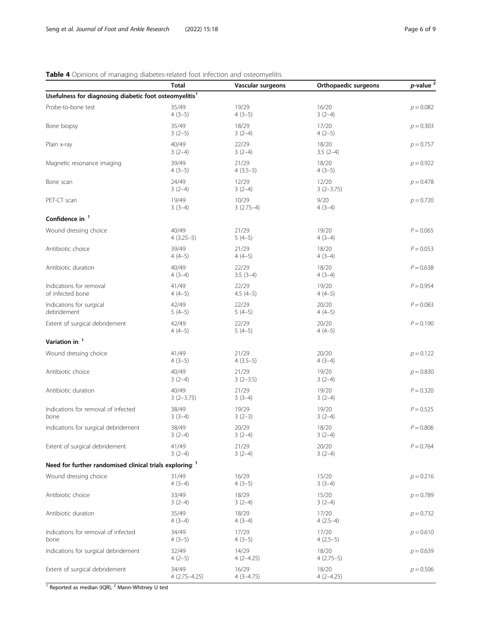## <span id="page-5-0"></span>Table 4 Opinions of managing diabetes-related foot infection and osteomyelitis

|                                                          | <b>Total</b>                                                       | Vascular surgeons    | Orthopaedic surgeons | $p$ -value $^2$ |  |  |
|----------------------------------------------------------|--------------------------------------------------------------------|----------------------|----------------------|-----------------|--|--|
|                                                          | Usefulness for diagnosing diabetic foot osteomyelitis <sup>1</sup> |                      |                      |                 |  |  |
| Probe-to-bone test                                       | 35/49<br>$4(3-5)$                                                  | 19/29<br>$4(3-5)$    | 16/20<br>$3(2-4)$    | $p = 0.082$     |  |  |
| Bone biopsy                                              | 35/49<br>$3(2-5)$                                                  | 18/29<br>$3(2-4)$    | 17/20<br>$4(2-5)$    | $p = 0.303$     |  |  |
| Plain x-ray                                              | 40/49<br>$3(2-4)$                                                  | 22/29<br>$3(2-4)$    | 18/20<br>$3.5(2-4)$  | $p = 0.757$     |  |  |
| Magnetic resonance imaging                               | 39/49<br>$4(3-5)$                                                  | 21/29<br>$4(3.5-5)$  | 18/20<br>$4(3-5)$    | $p = 0.922$     |  |  |
| Bone scan                                                | 24/49<br>$3(2-4)$                                                  | 12/29<br>$3(2-4)$    | 12/20<br>$3(2-3.75)$ | $p = 0.478$     |  |  |
| PET-CT scan                                              | 19/49<br>$3(3-4)$                                                  | 10/29<br>$3(2.75-4)$ | 9/20<br>$4(3-4)$     | $p = 0.720$     |  |  |
| Confidence in: 1                                         |                                                                    |                      |                      |                 |  |  |
| Wound dressing choice                                    | 40/49<br>$4(3.25-5)$                                               | 21/29<br>$5(4-5)$    | 19/20<br>$4(3-4)$    | $P = 0.065$     |  |  |
| Antibiotic choice                                        | 39/49<br>$4(4-5)$                                                  | 21/29<br>$4(4-5)$    | 18/20<br>$4(3-4)$    | $P = 0.053$     |  |  |
| Antibiotic duration                                      | 40/49<br>$4(3-4)$                                                  | 22/29<br>$3.5(3-4)$  | 18/20<br>$4(3-4)$    | $P = 0.638$     |  |  |
| Indications for removal<br>of infected bone              | 41/49<br>$4(4-5)$                                                  | 22/29<br>$4.5(4-5)$  | 19/20<br>$4(4-5)$    | $P = 0.954$     |  |  |
| Indications for surgical<br>debridement                  | 42/49<br>$5(4-5)$                                                  | 22/29<br>$5(4-5)$    | 20/20<br>$4(4-5)$    | $P = 0.083$     |  |  |
| Extent of surgical debridement                           | 42/49<br>$4(4-5)$                                                  | 22/29<br>$5(4-5)$    | 20/20<br>$4(4-5)$    | $P = 0.190$     |  |  |
| Variation in: 1                                          |                                                                    |                      |                      |                 |  |  |
| Wound dressing choice                                    | 41/49<br>$4(3-5)$                                                  | 21/29<br>$4(3.5-5)$  | 20/20<br>$4(3-4)$    | $p = 0.122$     |  |  |
| Antibiotic choice                                        | 40/49<br>$3(2-4)$                                                  | 21/29<br>$3(2-3.5)$  | 19/20<br>$3(2-4)$    | $p = 0.830$     |  |  |
| Antibiotic duration                                      | 40/49<br>$3(2-3.75)$                                               | 21/29<br>$3(3-4)$    | 19/20<br>$3(2-4)$    | $P = 0.320$     |  |  |
| Indications for removal of infected<br>bone              | 38/49<br>$3(3-4)$                                                  | 19/29<br>$3(2-3)$    | 19/20<br>$3(2-4)$    | $P = 0.525$     |  |  |
| Indications for surgical debridement                     | 38/49<br>$3(2-4)$                                                  | 20/29<br>$3(2-4)$    | 18/20<br>$3(2-4)$    | $P = 0.806$     |  |  |
| Extent of surgical debridement                           | 41/49<br>$3(2-4)$                                                  | 21/29<br>$3(2-4)$    | 20/20<br>$3(2-4)$    | $P = 0.764$     |  |  |
| Need for further randomised clinical trials exploring: 1 |                                                                    |                      |                      |                 |  |  |
| Wound dressing choice                                    | 31/49<br>$4(3-4)$                                                  | 16/29<br>$4(3-5)$    | 15/20<br>$3(3-4)$    | $p = 0.216$     |  |  |
| Antibiotic choice                                        | 33/49<br>$3(2-4)$                                                  | 18/29<br>$3(2-4)$    | 15/20<br>$3(2-4)$    | $p = 0.789$     |  |  |
| Antibiotic duration                                      | 35/49<br>$4(3-4)$                                                  | 18/29<br>$4(3-4)$    | 17/20<br>$4(2.5-4)$  | $p = 0.732$     |  |  |
| Indications for removal of infected<br>bone              | 34/49<br>$4(3-5)$                                                  | 17/29<br>$4(3-5)$    | 17/20<br>$4(2.5-5)$  | $p = 0.610$     |  |  |
| Indications for surgical debridement                     | 32/49<br>$4(2-5)$                                                  | 14/29<br>$4(2-4.25)$ | 18/20<br>$4(2.75-5)$ | $p = 0.639$     |  |  |
| Extent of surgical debridement                           | 34/49<br>$4(2.75 - 4.25)$                                          | 16/29<br>$4(3-4.75)$ | 18/20<br>$4(2-4.25)$ | $p = 0.506$     |  |  |

 $\frac{1}{1}$  Reported as median (IQR),  $^2$  Mann-Whitney U test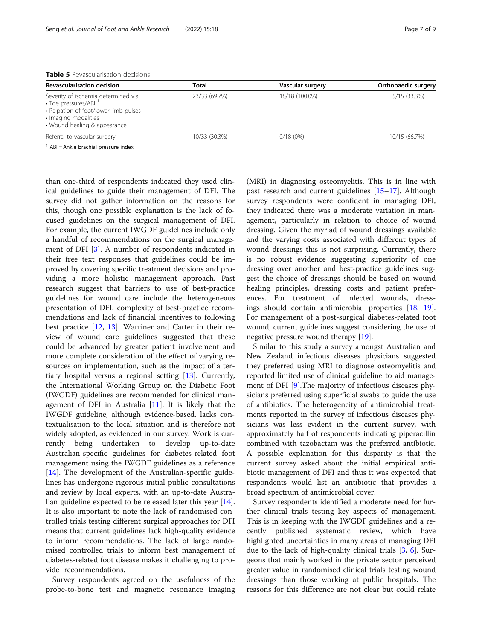<span id="page-6-0"></span>

| Revascularisation decision                                                                                                                                     | Total         | Vascular surgery | Orthopaedic surgery |
|----------------------------------------------------------------------------------------------------------------------------------------------------------------|---------------|------------------|---------------------|
| Severity of ischemia determined via:<br>• Toe pressures/ABI '<br>· Palpation of foot/lower limb pulses<br>· Imaging modalities<br>• Wound healing & appearance | 23/33 (69.7%) | 18/18 (100.0%)   | 5/15 (33.3%)        |
| Referral to vascular surgery                                                                                                                                   | 10/33 (30.3%) | 0/18(0%)         | 10/15 (66.7%)       |

 $1$  ABI = Ankle brachial pressure index

than one-third of respondents indicated they used clinical guidelines to guide their management of DFI. The survey did not gather information on the reasons for this, though one possible explanation is the lack of focused guidelines on the surgical management of DFI. For example, the current IWGDF guidelines include only a handful of recommendations on the surgical management of DFI [[3\]](#page-7-0). A number of respondents indicated in their free text responses that guidelines could be improved by covering specific treatment decisions and providing a more holistic management approach. Past research suggest that barriers to use of best-practice guidelines for wound care include the heterogeneous presentation of DFI, complexity of best-practice recommendations and lack of financial incentives to following best practice [[12,](#page-8-0) [13\]](#page-8-0). Warriner and Carter in their review of wound care guidelines suggested that these could be advanced by greater patient involvement and more complete consideration of the effect of varying resources on implementation, such as the impact of a tertiary hospital versus a regional setting [\[13\]](#page-8-0). Currently, the International Working Group on the Diabetic Foot (IWGDF) guidelines are recommended for clinical management of DFI in Australia [[11](#page-8-0)]. It is likely that the IWGDF guideline, although evidence-based, lacks contextualisation to the local situation and is therefore not widely adopted, as evidenced in our survey. Work is currently being undertaken to develop up-to-date Australian-specific guidelines for diabetes-related foot management using the IWGDF guidelines as a reference [[14\]](#page-8-0). The development of the Australian-specific guidelines has undergone rigorous initial public consultations and review by local experts, with an up-to-date Australian guideline expected to be released later this year [\[14](#page-8-0)]. It is also important to note the lack of randomised controlled trials testing different surgical approaches for DFI means that current guidelines lack high-quality evidence to inform recommendations. The lack of large randomised controlled trials to inform best management of diabetes-related foot disease makes it challenging to provide recommendations.

Survey respondents agreed on the usefulness of the probe-to-bone test and magnetic resonance imaging

(MRI) in diagnosing osteomyelitis. This is in line with past research and current guidelines [\[15](#page-8-0)–[17\]](#page-8-0). Although survey respondents were confident in managing DFI, they indicated there was a moderate variation in management, particularly in relation to choice of wound dressing. Given the myriad of wound dressings available and the varying costs associated with different types of wound dressings this is not surprising. Currently, there is no robust evidence suggesting superiority of one dressing over another and best-practice guidelines suggest the choice of dressings should be based on wound healing principles, dressing costs and patient preferences. For treatment of infected wounds, dressings should contain antimicrobial properties [[18,](#page-8-0) [19](#page-8-0)]. For management of a post-surgical diabetes-related foot wound, current guidelines suggest considering the use of negative pressure wound therapy [[19\]](#page-8-0).

Similar to this study a survey amongst Australian and New Zealand infectious diseases physicians suggested they preferred using MRI to diagnose osteomyelitis and reported limited use of clinical guideline to aid management of DFI [[9\]](#page-8-0).The majority of infectious diseases physicians preferred using superficial swabs to guide the use of antibiotics. The heterogeneity of antimicrobial treatments reported in the survey of infectious diseases physicians was less evident in the current survey, with approximately half of respondents indicating piperacillin combined with tazobactam was the preferred antibiotic. A possible explanation for this disparity is that the current survey asked about the initial empirical antibiotic management of DFI and thus it was expected that respondents would list an antibiotic that provides a broad spectrum of antimicrobial cover.

Survey respondents identified a moderate need for further clinical trials testing key aspects of management. This is in keeping with the IWGDF guidelines and a recently published systematic review, which have highlighted uncertainties in many areas of managing DFI due to the lack of high-quality clinical trials [\[3](#page-7-0), [6\]](#page-7-0). Surgeons that mainly worked in the private sector perceived greater value in randomised clinical trials testing wound dressings than those working at public hospitals. The reasons for this difference are not clear but could relate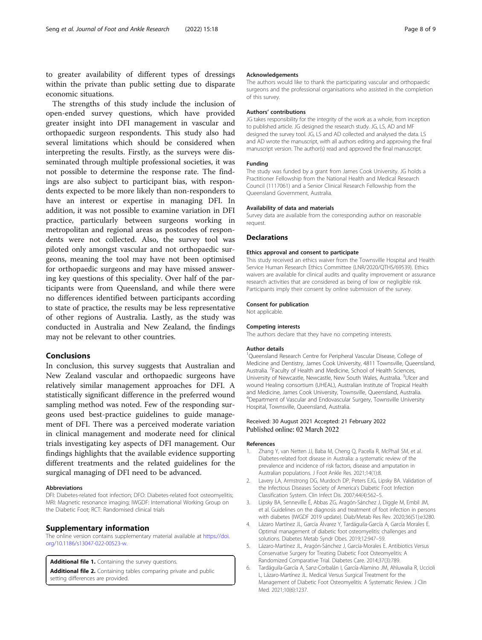<span id="page-7-0"></span>to greater availability of different types of dressings within the private than public setting due to disparate economic situations.

The strengths of this study include the inclusion of open-ended survey questions, which have provided greater insight into DFI management in vascular and orthopaedic surgeon respondents. This study also had several limitations which should be considered when interpreting the results. Firstly, as the surveys were disseminated through multiple professional societies, it was not possible to determine the response rate. The findings are also subject to participant bias, with respondents expected to be more likely than non-responders to have an interest or expertise in managing DFI. In addition, it was not possible to examine variation in DFI practice, particularly between surgeons working in metropolitan and regional areas as postcodes of respondents were not collected. Also, the survey tool was piloted only amongst vascular and not orthopaedic surgeons, meaning the tool may have not been optimised for orthopaedic surgeons and may have missed answering key questions of this speciality. Over half of the participants were from Queensland, and while there were no differences identified between participants according to state of practice, the results may be less representative of other regions of Australia. Lastly, as the study was conducted in Australia and New Zealand, the findings may not be relevant to other countries.

#### Conclusions

In conclusion, this survey suggests that Australian and New Zealand vascular and orthopaedic surgeons have relatively similar management approaches for DFI. A statistically significant difference in the preferred wound sampling method was noted. Few of the responding surgeons used best-practice guidelines to guide management of DFI. There was a perceived moderate variation in clinical management and moderate need for clinical trials investigating key aspects of DFI management. Our findings highlights that the available evidence supporting different treatments and the related guidelines for the surgical managing of DFI need to be advanced.

#### Abbreviations

DFI: Diabetes-related foot infection; DFO: Diabetes-related foot osteomyelitis; MRI: Magnetic resonance imaging; IWGDF: International Working Group on the Diabetic Foot; RCT: Randomised clinical trials

#### Supplementary information

The online version contains supplementary material available at [https://doi.](https://doi.org/10.1186/s13047-022-00523-w) [org/10.1186/s13047-022-00523-w](https://doi.org/10.1186/s13047-022-00523-w).

Additional file 1. Containing the survey questions.

Additional file 2. Containing tables comparing private and public setting differences are provided.

#### Acknowledgements

The authors would like to thank the participating vascular and orthopaedic surgeons and the professional organisations who assisted in the completion of this survey.

#### Authors' contributions

JG takes responsibility for the integrity of the work as a whole, from inception to published article. JG designed the research study. JG, LS, AD and MF designed the survey tool. JG, LS and AD collected and analysed the data. LS and AD wrote the manuscript, with all authors editing and approving the final manuscript version. The author(s) read and approved the final manuscript.

#### Funding

The study was funded by a grant from James Cook University. JG holds a Practitioner Fellowship from the National Health and Medical Research Council (1117061) and a Senior Clinical Research Fellowship from the Queensland Government, Australia.

#### Availability of data and materials

Survey data are available from the corresponding author on reasonable request.

#### **Declarations**

#### Ethics approval and consent to participate

This study received an ethics waiver from the Townsville Hospital and Health Service Human Research Ethics Committee (LNR/2020/QTHS/69539). Ethics waivers are available for clinical audits and quality improvement or assurance research activities that are considered as being of low or negligible risk. Participants imply their consent by online submission of the survey.

#### Consent for publication

Not applicable.

#### Competing interests

The authors declare that they have no competing interests.

#### Author details

<sup>1</sup>Queensland Research Centre for Peripheral Vascular Disease, College of Medicine and Dentistry, James Cook University, 4811 Townsville, Queensland, Australia. <sup>2</sup> Faculty of Health and Medicine, School of Health Sciences, University of Newcastle, Newcastle, New South Wales, Australia. <sup>3</sup>Ulcer and wound Healing consortium (UHEAL), Australian Institute of Tropical Health and Medicine, James Cook University, Townsville, Queensland, Australia. 4 Department of Vascular and Endovascular Surgery, Townsville University Hospital, Townsville, Queensland, Australia.

#### Received: 30 August 2021 Accepted: 21 February 2022 Published online: 02 March 2022

#### References

- Zhang Y, van Netten JJ, Baba M, Cheng Q, Pacella R, McPhail SM, et al. Diabetes-related foot disease in Australia: a systematic review of the prevalence and incidence of risk factors, disease and amputation in Australian populations. J Foot Ankle Res. 2021;14(1):8.
- 2. Lavery LA, Armstrong DG, Murdoch DP, Peters EJG, Lipsky BA. Validation of the Infectious Diseases Society of America's Diabetic Foot Infection Classification System. Clin Infect Dis. 2007;44(4):562–5.
- 3. Lipsky BA, Senneville É, Abbas ZG, Aragón-Sánchez J, Diggle M, Embil JM, et al. Guidelines on the diagnosis and treatment of foot infection in persons with diabetes (IWGDF 2019 update). Diab/Metab Res Rev. 2020;36(S1):e3280.
- Lázaro Martínez JL, García Álvarez Y, Tardáguila-García A, García Morales E. Optimal management of diabetic foot osteomyelitis: challenges and solutions. Diabetes Metab Syndr Obes. 2019;12:947–59.
- 5. Lázaro-Martínez JL, Aragón-Sánchez J, García-Morales E. Antibiotics Versus Conservative Surgery for Treating Diabetic Foot Osteomyelitis: A Randomized Comparative Trial. Diabetes Care. 2014;37(3):789.
- 6. Tardáguila-García A, Sanz-Corbalán I, García-Alamino JM, Ahluwalia R, Uccioli L, Lázaro-Martínez JL. Medical Versus Surgical Treatment for the Management of Diabetic Foot Osteomyelitis: A Systematic Review. J Clin Med. 2021;10(6):1237.